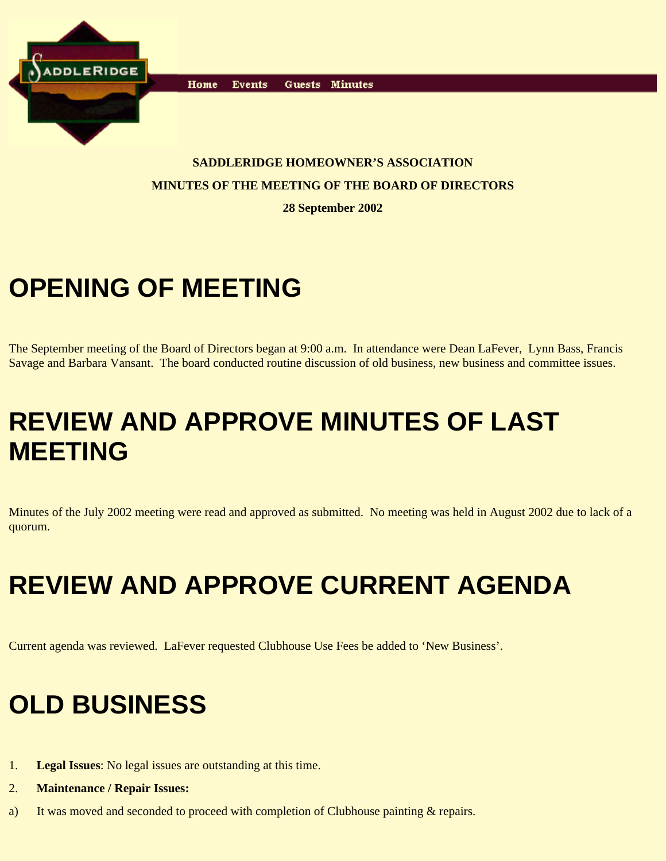

Home **Events** Guests Minutes

#### **SADDLERIDGE HOMEOWNER'S ASSOCIATION MINUTES OF THE MEETING OF THE BOARD OF DIRECTORS**

**28 September 2002**

## **OPENING OF MEETING**

The September meeting of the Board of Directors began at 9:00 a.m. In attendance were Dean LaFever, Lynn Bass, Francis Savage and Barbara Vansant. The board conducted routine discussion of old business, new business and committee issues.

#### **REVIEW AND APPROVE MINUTES OF LAST MEETING**

Minutes of the July 2002 meeting were read and approved as submitted. No meeting was held in August 2002 due to lack of a quorum.

## **REVIEW AND APPROVE CURRENT AGENDA**

Current agenda was reviewed. LaFever requested Clubhouse Use Fees be added to 'New Business'.

### **OLD BUSINESS**

- 1. **Legal Issues**: No legal issues are outstanding at this time.
- 2. **Maintenance / Repair Issues:**
- a) It was moved and seconded to proceed with completion of Clubhouse painting & repairs.